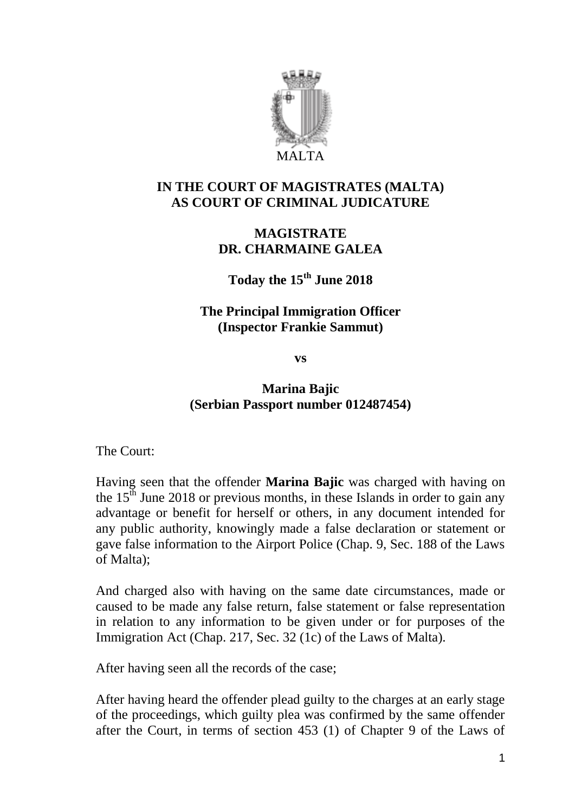

### **IN THE COURT OF MAGISTRATES (MALTA) AS COURT OF CRIMINAL JUDICATURE**

### **MAGISTRATE DR. CHARMAINE GALEA**

**Today the 15th June 2018**

#### **The Principal Immigration Officer (Inspector Frankie Sammut)**

**vs**

# **Marina Bajic (Serbian Passport number 012487454)**

The Court:

Having seen that the offender **Marina Bajic** was charged with having on the  $15<sup>th</sup>$  June 2018 or previous months, in these Islands in order to gain any advantage or benefit for herself or others, in any document intended for any public authority, knowingly made a false declaration or statement or gave false information to the Airport Police (Chap. 9, Sec. 188 of the Laws of Malta);

And charged also with having on the same date circumstances, made or caused to be made any false return, false statement or false representation in relation to any information to be given under or for purposes of the Immigration Act (Chap. 217, Sec. 32 (1c) of the Laws of Malta).

After having seen all the records of the case;

After having heard the offender plead guilty to the charges at an early stage of the proceedings, which guilty plea was confirmed by the same offender after the Court, in terms of section 453 (1) of Chapter 9 of the Laws of